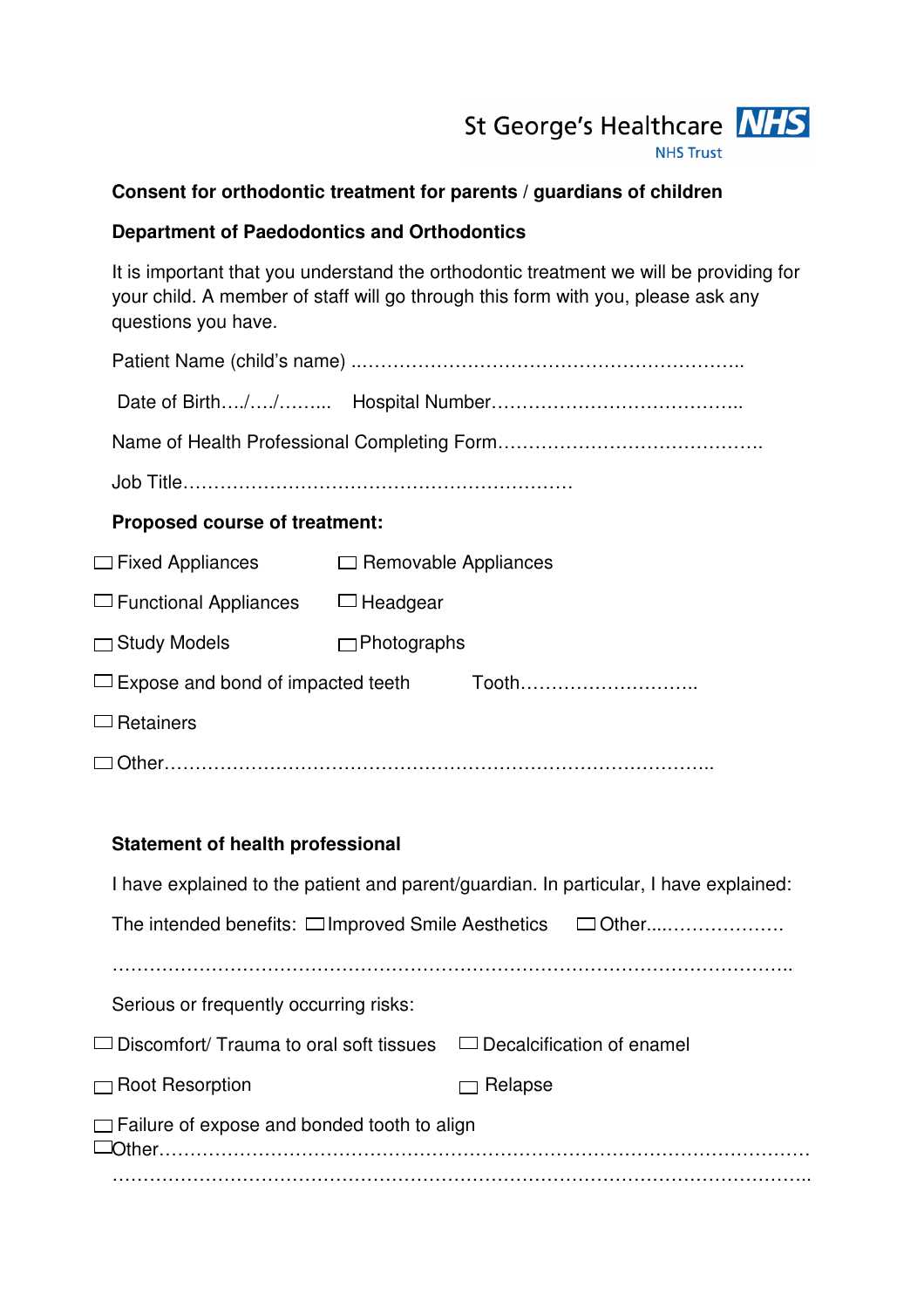

## **Consent for orthodontic treatment for parents / guardians of children**

## **Department of Paedodontics and Orthodontics**

It is important that you understand the orthodontic treatment we will be providing for your child. A member of staff will go through this form with you, please ask any questions you have.

| <b>Proposed course of treatment:</b>                                                  |                             |                                                                                 |  |  |
|---------------------------------------------------------------------------------------|-----------------------------|---------------------------------------------------------------------------------|--|--|
| $\Box$ Fixed Appliances                                                               | $\Box$ Removable Appliances |                                                                                 |  |  |
| $\Box$ Functional Appliances $\Box$ Headgear                                          |                             |                                                                                 |  |  |
| $\Box$ Study Models                                                                   | $\Box$ Photographs          |                                                                                 |  |  |
| $\Box$ Expose and bond of impacted teeth<br>Tooth                                     |                             |                                                                                 |  |  |
| $\Box$ Retainers                                                                      |                             |                                                                                 |  |  |
|                                                                                       |                             |                                                                                 |  |  |
|                                                                                       |                             |                                                                                 |  |  |
| <b>Statement of health professional</b>                                               |                             |                                                                                 |  |  |
| I have explained to the patient and parent/guardian. In particular, I have explained: |                             |                                                                                 |  |  |
| The intended benefits: □ Improved Smile Aesthetics □ Other                            |                             |                                                                                 |  |  |
|                                                                                       |                             |                                                                                 |  |  |
| Serious or frequently occurring risks:                                                |                             |                                                                                 |  |  |
|                                                                                       |                             | $\Box$ Discomfort/ Trauma to oral soft tissues $\Box$ Decalcification of enamel |  |  |
| $\Box$ Root Resorption                                                                |                             | $\Box$ Relapse                                                                  |  |  |
| $\Box$ Failure of expose and bonded tooth to align                                    |                             |                                                                                 |  |  |

Other…………………………………………………………………………………………… …………………………………………………………………………………………………..